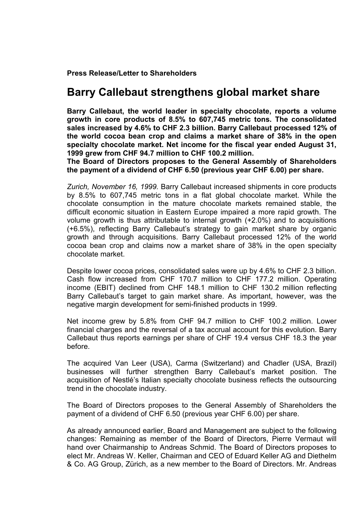**Press Release/Letter to Shareholders** 

## **Barry Callebaut strengthens global market share**

**Barry Callebaut, the world leader in specialty chocolate, reports a volume growth in core products of 8.5% to 607,745 metric tons. The consolidated sales increased by 4.6% to CHF 2.3 billion. Barry Callebaut processed 12% of the world cocoa bean crop and claims a market share of 38% in the open specialty chocolate market. Net income for the fiscal year ended August 31, 1999 grew from CHF 94.7 million to CHF 100.2 million.** 

**The Board of Directors proposes to the General Assembly of Shareholders the payment of a dividend of CHF 6.50 (previous year CHF 6.00) per share.** 

*Zurich, November 16, 1999.* Barry Callebaut increased shipments in core products by 8.5% to 607,745 metric tons in a flat global chocolate market. While the chocolate consumption in the mature chocolate markets remained stable, the difficult economic situation in Eastern Europe impaired a more rapid growth. The volume growth is thus attributable to internal growth (+2.0%) and to acquisitions (+6.5%), reflecting Barry Callebaut's strategy to gain market share by organic growth and through acquisitions. Barry Callebaut processed 12% of the world cocoa bean crop and claims now a market share of 38% in the open specialty chocolate market.

Despite lower cocoa prices, consolidated sales were up by 4.6% to CHF 2.3 billion. Cash flow increased from CHF 170.7 million to CHF 177.2 million. Operating income (EBIT) declined from CHF 148.1 million to CHF 130.2 million reflecting Barry Callebaut's target to gain market share. As important, however, was the negative margin development for semi-finished products in 1999.

Net income grew by 5.8% from CHF 94.7 million to CHF 100.2 million. Lower financial charges and the reversal of a tax accrual account for this evolution. Barry Callebaut thus reports earnings per share of CHF 19.4 versus CHF 18.3 the year before.

The acquired Van Leer (USA), Carma (Switzerland) and Chadler (USA, Brazil) businesses will further strengthen Barry Callebaut's market position. The acquisition of Nestlé's Italian specialty chocolate business reflects the outsourcing trend in the chocolate industry.

The Board of Directors proposes to the General Assembly of Shareholders the payment of a dividend of CHF 6.50 (previous year CHF 6.00) per share.

As already announced earlier, Board and Management are subject to the following changes: Remaining as member of the Board of Directors, Pierre Vermaut will hand over Chairmanship to Andreas Schmid. The Board of Directors proposes to elect Mr. Andreas W. Keller, Chairman and CEO of Eduard Keller AG and Diethelm & Co. AG Group, Zürich, as a new member to the Board of Directors. Mr. Andreas